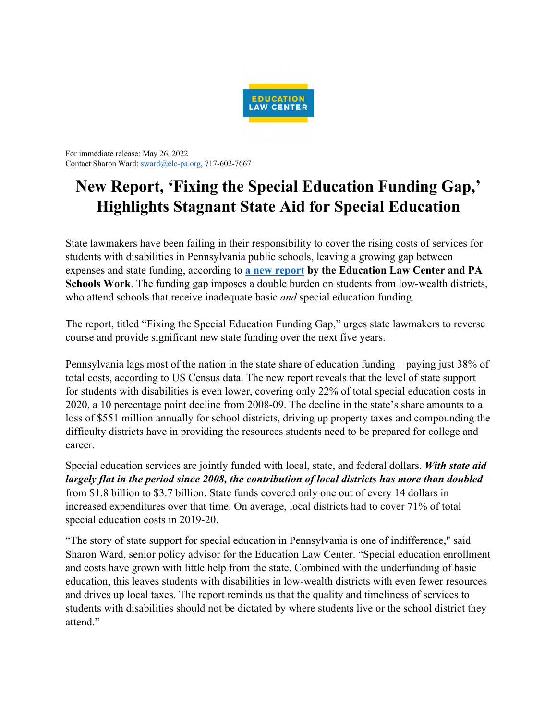

For immediate release: May 26, 2022 Contact Sharon Ward: sward@elc-pa.org, 717-602-7667

## **New Report, 'Fixing the Special Education Funding Gap,' Highlights Stagnant State Aid for Special Education**

State lawmakers have been failing in their responsibility to cover the rising costs of services for students with disabilities in Pennsylvania public schools, leaving a growing gap between expenses and state funding, according to **a new report by the Education Law Center and PA Schools Work**. The funding gap imposes a double burden on students from low-wealth districts, who attend schools that receive inadequate basic *and* special education funding.

The report, titled "Fixing the Special Education Funding Gap," urges state lawmakers to reverse course and provide significant new state funding over the next five years.

Pennsylvania lags most of the nation in the state share of education funding – paying just 38% of total costs, according to US Census data. The new report reveals that the level of state support for students with disabilities is even lower, covering only 22% of total special education costs in 2020, a 10 percentage point decline from 2008-09. The decline in the state's share amounts to a loss of \$551 million annually for school districts, driving up property taxes and compounding the difficulty districts have in providing the resources students need to be prepared for college and career.

Special education services are jointly funded with local, state, and federal dollars. *With state aid largely flat in the period since 2008, the contribution of local districts has more than doubled* – from \$1.8 billion to \$3.7 billion. State funds covered only one out of every 14 dollars in increased expenditures over that time. On average, local districts had to cover 71% of total special education costs in 2019-20.

"The story of state support for special education in Pennsylvania is one of indifference," said Sharon Ward, senior policy advisor for the Education Law Center. "Special education enrollment and costs have grown with little help from the state. Combined with the underfunding of basic education, this leaves students with disabilities in low-wealth districts with even fewer resources and drives up local taxes. The report reminds us that the quality and timeliness of services to students with disabilities should not be dictated by where students live or the school district they attend."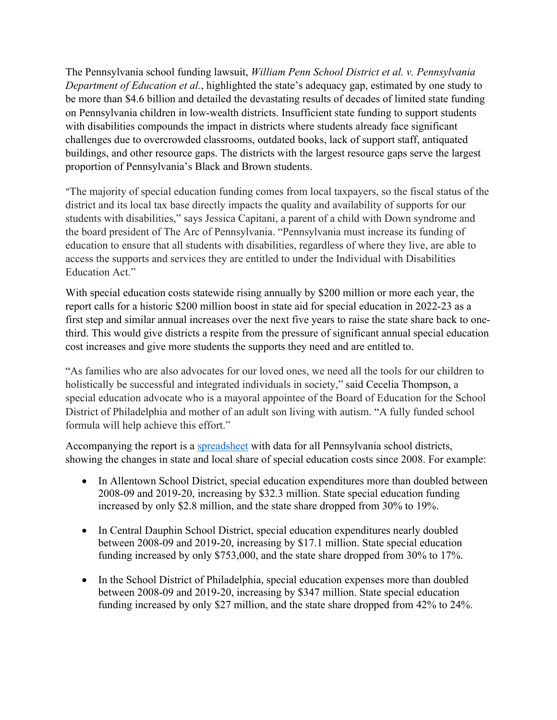The Pennsylvania school funding lawsuit, *William Penn School District et al. v. Pennsylvania Department of Education et al.*, highlighted the state's adequacy gap, estimated by one study to be more than \$4.6 billion and detailed the devastating results of decades of limited state funding on Pennsylvania children in low-wealth districts. Insufficient state funding to support students with disabilities compounds the impact in districts where students already face significant challenges due to overcrowded classrooms, outdated books, lack of support staff, antiquated buildings, and other resource gaps. The districts with the largest resource gaps serve the largest proportion of Pennsylvania's Black and Brown students.

"The majority of special education funding comes from local taxpayers, so the fiscal status of the district and its local tax base directly impacts the quality and availability of supports for our students with disabilities," says Jessica Capitani, a parent of a child with Down syndrome and the board president of The Arc of Pennsylvania. "Pennsylvania must increase its funding of education to ensure that all students with disabilities, regardless of where they live, are able to access the supports and services they are entitled to under the Individual with Disabilities Education Act."

With special education costs statewide rising annually by \$200 million or more each year, the report calls for a historic \$200 million boost in state aid for special education in 2022-23 as a first step and similar annual increases over the next five years to raise the state share back to onethird. This would give districts a respite from the pressure of significant annual special education cost increases and give more students the supports they need and are entitled to.

"As families who are also advocates for our loved ones, we need all the tools for our children to holistically be successful and integrated individuals in society," said Cecelia Thompson, a special education advocate who is a mayoral appointee of the Board of Education for the School District of Philadelphia and mother of an adult son living with autism. "A fully funded school formula will help achieve this effort."

Accompanying the report is a spreadsheet with data for all Pennsylvania school districts, showing the changes in state and local share of special education costs since 2008. For example:

- In Allentown School District, special education expenditures more than doubled between 2008-09 and 2019-20, increasing by \$32.3 million. State special education funding increased by only \$2.8 million, and the state share dropped from 30% to 19%.
- In Central Dauphin School District, special education expenditures nearly doubled between 2008-09 and 2019-20, increasing by \$17.1 million. State special education funding increased by only \$753,000, and the state share dropped from 30% to 17%.
- In the School District of Philadelphia, special education expenses more than doubled between 2008-09 and 2019-20, increasing by \$347 million. State special education funding increased by only \$27 million, and the state share dropped from 42% to 24%.